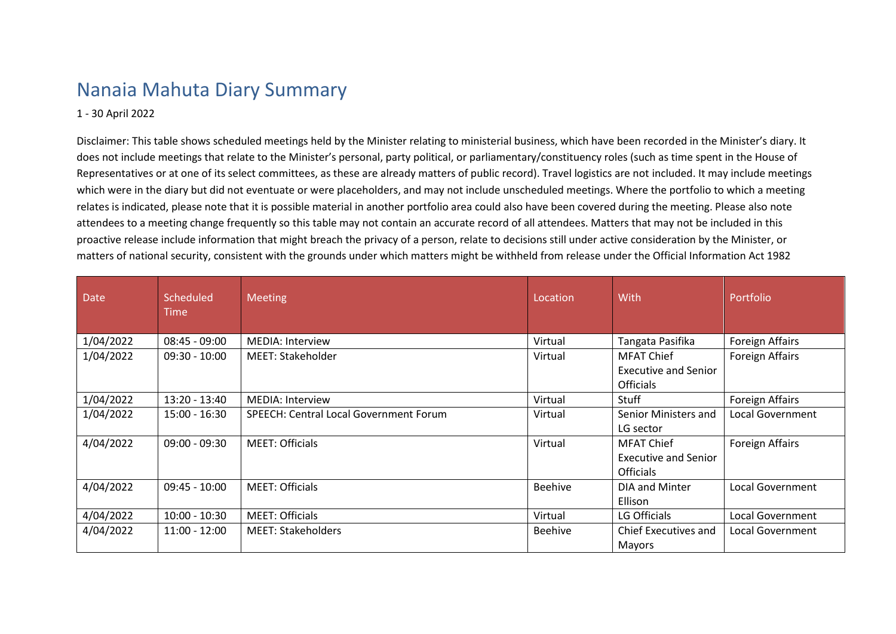## Nanaia Mahuta Diary Summary

## 1 - 30 April 2022

Disclaimer: This table shows scheduled meetings held by the Minister relating to ministerial business, which have been recorded in the Minister's diary. It does not include meetings that relate to the Minister's personal, party political, or parliamentary/constituency roles (such as time spent in the House of Representatives or at one of its select committees, as these are already matters of public record). Travel logistics are not included. It may include meetings which were in the diary but did not eventuate or were placeholders, and may not include unscheduled meetings. Where the portfolio to which a meeting relates is indicated, please note that it is possible material in another portfolio area could also have been covered during the meeting. Please also note attendees to a meeting change frequently so this table may not contain an accurate record of all attendees. Matters that may not be included in this proactive release include information that might breach the privacy of a person, relate to decisions still under active consideration by the Minister, or matters of national security, consistent with the grounds under which matters might be withheld from release under the Official Information Act 1982

| <b>Date</b> | Scheduled<br><b>Time</b> | <b>Meeting</b>                         | Location       | With                                                                 | Portfolio               |
|-------------|--------------------------|----------------------------------------|----------------|----------------------------------------------------------------------|-------------------------|
| 1/04/2022   | $08:45 - 09:00$          | <b>MEDIA: Interview</b>                | Virtual        | Tangata Pasifika                                                     | Foreign Affairs         |
| 1/04/2022   | $09:30 - 10:00$          | <b>MEET: Stakeholder</b>               | Virtual        | <b>MFAT Chief</b><br><b>Executive and Senior</b><br><b>Officials</b> | <b>Foreign Affairs</b>  |
| 1/04/2022   | $13:20 - 13:40$          | <b>MEDIA: Interview</b>                | Virtual        | Stuff                                                                | <b>Foreign Affairs</b>  |
| 1/04/2022   | 15:00 - 16:30            | SPEECH: Central Local Government Forum | Virtual        | Senior Ministers and<br>LG sector                                    | Local Government        |
| 4/04/2022   | $09:00 - 09:30$          | <b>MEET: Officials</b>                 | Virtual        | <b>MFAT Chief</b><br><b>Executive and Senior</b><br><b>Officials</b> | <b>Foreign Affairs</b>  |
| 4/04/2022   | $09:45 - 10:00$          | <b>MEET: Officials</b>                 | <b>Beehive</b> | DIA and Minter<br>Ellison                                            | <b>Local Government</b> |
| 4/04/2022   | $10:00 - 10:30$          | <b>MEET: Officials</b>                 | Virtual        | LG Officials                                                         | Local Government        |
| 4/04/2022   | $11:00 - 12:00$          | <b>MEET: Stakeholders</b>              | <b>Beehive</b> | Chief Executives and<br>Mayors                                       | Local Government        |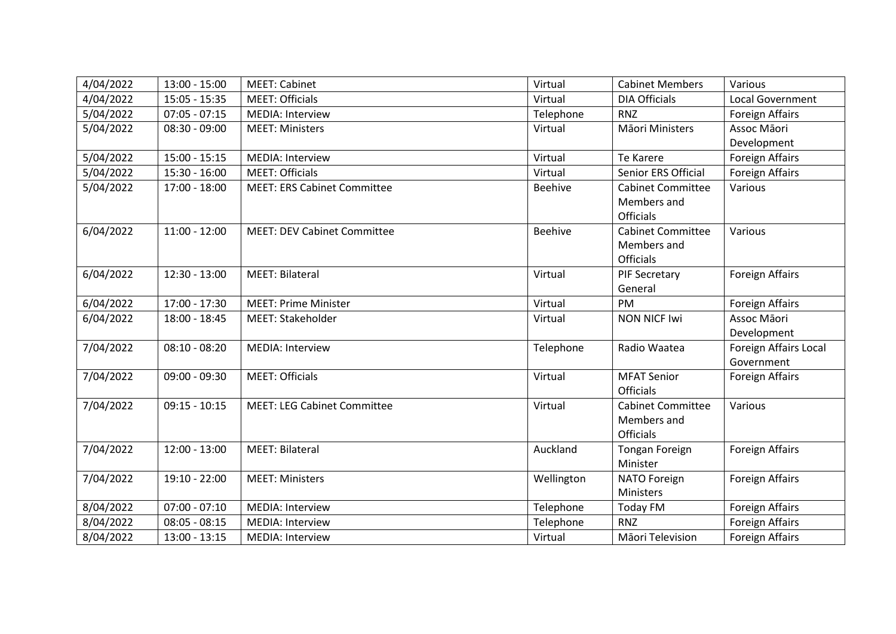| 4/04/2022 | $13:00 - 15:00$ | <b>MEET: Cabinet</b>               | Virtual        | <b>Cabinet Members</b>   | Various                |
|-----------|-----------------|------------------------------------|----------------|--------------------------|------------------------|
| 4/04/2022 | $15:05 - 15:35$ | <b>MEET: Officials</b>             | Virtual        | <b>DIA Officials</b>     | Local Government       |
| 5/04/2022 | $07:05 - 07:15$ | <b>MEDIA: Interview</b>            | Telephone      | <b>RNZ</b>               | Foreign Affairs        |
| 5/04/2022 | $08:30 - 09:00$ | <b>MEET: Ministers</b>             | Virtual        | Māori Ministers          | Assoc Māori            |
|           |                 |                                    |                |                          | Development            |
| 5/04/2022 | $15:00 - 15:15$ | <b>MEDIA: Interview</b>            | Virtual        | Te Karere                | <b>Foreign Affairs</b> |
| 5/04/2022 | $15:30 - 16:00$ | <b>MEET: Officials</b>             | Virtual        | Senior ERS Official      | Foreign Affairs        |
| 5/04/2022 | $17:00 - 18:00$ | <b>MEET: ERS Cabinet Committee</b> | <b>Beehive</b> | <b>Cabinet Committee</b> | Various                |
|           |                 |                                    |                | Members and              |                        |
|           |                 |                                    |                | <b>Officials</b>         |                        |
| 6/04/2022 | $11:00 - 12:00$ | <b>MEET: DEV Cabinet Committee</b> | <b>Beehive</b> | <b>Cabinet Committee</b> | Various                |
|           |                 |                                    |                | Members and              |                        |
|           |                 |                                    |                | <b>Officials</b>         |                        |
| 6/04/2022 | $12:30 - 13:00$ | <b>MEET: Bilateral</b>             | Virtual        | PIF Secretary            | <b>Foreign Affairs</b> |
|           |                 |                                    |                | General                  |                        |
| 6/04/2022 | 17:00 - 17:30   | <b>MEET: Prime Minister</b>        | Virtual        | PM                       | <b>Foreign Affairs</b> |
| 6/04/2022 | 18:00 - 18:45   | <b>MEET: Stakeholder</b>           | Virtual        | <b>NON NICF Iwi</b>      | Assoc Māori            |
|           |                 |                                    |                |                          | Development            |
| 7/04/2022 | $08:10 - 08:20$ | <b>MEDIA: Interview</b>            | Telephone      | Radio Waatea             | Foreign Affairs Local  |
|           |                 |                                    |                |                          | Government             |
| 7/04/2022 | $09:00 - 09:30$ | <b>MEET: Officials</b>             | Virtual        | <b>MFAT Senior</b>       | <b>Foreign Affairs</b> |
|           |                 |                                    |                | <b>Officials</b>         |                        |
| 7/04/2022 | $09:15 - 10:15$ | <b>MEET: LEG Cabinet Committee</b> | Virtual        | <b>Cabinet Committee</b> | Various                |
|           |                 |                                    |                | Members and              |                        |
|           |                 |                                    |                | <b>Officials</b>         |                        |
| 7/04/2022 | $12:00 - 13:00$ | <b>MEET: Bilateral</b>             | Auckland       | <b>Tongan Foreign</b>    | <b>Foreign Affairs</b> |
|           |                 |                                    |                | Minister                 |                        |
| 7/04/2022 | 19:10 - 22:00   | <b>MEET: Ministers</b>             | Wellington     | NATO Foreign             | <b>Foreign Affairs</b> |
|           |                 |                                    |                | Ministers                |                        |
| 8/04/2022 | $07:00 - 07:10$ | <b>MEDIA: Interview</b>            | Telephone      | Today FM                 | <b>Foreign Affairs</b> |
| 8/04/2022 | $08:05 - 08:15$ | <b>MEDIA: Interview</b>            | Telephone      | <b>RNZ</b>               | <b>Foreign Affairs</b> |
| 8/04/2022 | $13:00 - 13:15$ | <b>MEDIA: Interview</b>            | Virtual        | Māori Television         | <b>Foreign Affairs</b> |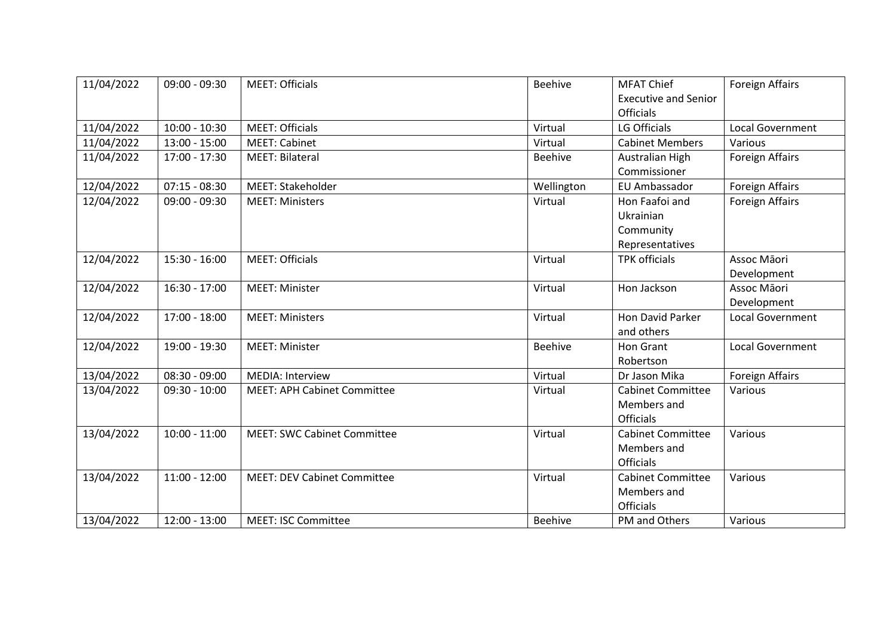| 11/04/2022 | $09:00 - 09:30$ | <b>MEET: Officials</b>             | <b>Beehive</b> | <b>MFAT Chief</b><br><b>Executive and Senior</b><br><b>Officials</b> | <b>Foreign Affairs</b>     |
|------------|-----------------|------------------------------------|----------------|----------------------------------------------------------------------|----------------------------|
| 11/04/2022 | $10:00 - 10:30$ | <b>MEET: Officials</b>             | Virtual        | <b>LG Officials</b>                                                  | <b>Local Government</b>    |
| 11/04/2022 | $13:00 - 15:00$ | <b>MEET: Cabinet</b>               | Virtual        | <b>Cabinet Members</b>                                               | Various                    |
| 11/04/2022 | $17:00 - 17:30$ | <b>MEET: Bilateral</b>             | <b>Beehive</b> | Australian High<br>Commissioner                                      | <b>Foreign Affairs</b>     |
| 12/04/2022 | $07:15 - 08:30$ | <b>MEET: Stakeholder</b>           | Wellington     | EU Ambassador                                                        | <b>Foreign Affairs</b>     |
| 12/04/2022 | $09:00 - 09:30$ | <b>MEET: Ministers</b>             | Virtual        | Hon Faafoi and<br>Ukrainian<br>Community<br>Representatives          | <b>Foreign Affairs</b>     |
| 12/04/2022 | $15:30 - 16:00$ | <b>MEET: Officials</b>             | Virtual        | <b>TPK officials</b>                                                 | Assoc Māori<br>Development |
| 12/04/2022 | $16:30 - 17:00$ | <b>MEET: Minister</b>              | Virtual        | Hon Jackson                                                          | Assoc Māori<br>Development |
| 12/04/2022 | $17:00 - 18:00$ | <b>MEET: Ministers</b>             | Virtual        | Hon David Parker<br>and others                                       | <b>Local Government</b>    |
| 12/04/2022 | 19:00 - 19:30   | <b>MEET: Minister</b>              | <b>Beehive</b> | <b>Hon Grant</b><br>Robertson                                        | <b>Local Government</b>    |
| 13/04/2022 | $08:30 - 09:00$ | <b>MEDIA: Interview</b>            | Virtual        | Dr Jason Mika                                                        | <b>Foreign Affairs</b>     |
| 13/04/2022 | $09:30 - 10:00$ | <b>MEET: APH Cabinet Committee</b> | Virtual        | <b>Cabinet Committee</b><br>Members and<br><b>Officials</b>          | Various                    |
| 13/04/2022 | $10:00 - 11:00$ | <b>MEET: SWC Cabinet Committee</b> | Virtual        | <b>Cabinet Committee</b><br>Members and<br><b>Officials</b>          | Various                    |
| 13/04/2022 | $11:00 - 12:00$ | <b>MEET: DEV Cabinet Committee</b> | Virtual        | <b>Cabinet Committee</b><br>Members and<br><b>Officials</b>          | Various                    |
| 13/04/2022 | $12:00 - 13:00$ | <b>MEET: ISC Committee</b>         | <b>Beehive</b> | PM and Others                                                        | Various                    |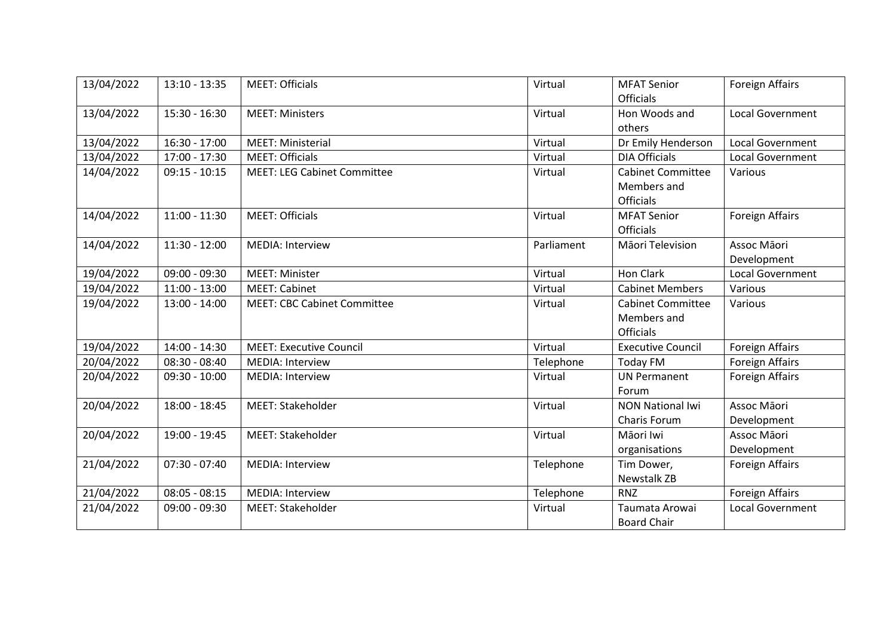| 13/04/2022 | $13:10 - 13:35$ | <b>MEET: Officials</b>             | Virtual    | <b>MFAT Senior</b>       | <b>Foreign Affairs</b>  |
|------------|-----------------|------------------------------------|------------|--------------------------|-------------------------|
|            |                 |                                    |            | <b>Officials</b>         |                         |
| 13/04/2022 | 15:30 - 16:30   | <b>MEET: Ministers</b>             | Virtual    | Hon Woods and            | <b>Local Government</b> |
|            |                 |                                    |            | others                   |                         |
| 13/04/2022 | 16:30 - 17:00   | <b>MEET: Ministerial</b>           | Virtual    | Dr Emily Henderson       | <b>Local Government</b> |
| 13/04/2022 | 17:00 - 17:30   | <b>MEET: Officials</b>             | Virtual    | <b>DIA Officials</b>     | <b>Local Government</b> |
| 14/04/2022 | $09:15 - 10:15$ | <b>MEET: LEG Cabinet Committee</b> | Virtual    | <b>Cabinet Committee</b> | Various                 |
|            |                 |                                    |            | Members and              |                         |
|            |                 |                                    |            | <b>Officials</b>         |                         |
| 14/04/2022 | $11:00 - 11:30$ | <b>MEET: Officials</b>             | Virtual    | <b>MFAT Senior</b>       | <b>Foreign Affairs</b>  |
|            |                 |                                    |            | <b>Officials</b>         |                         |
| 14/04/2022 | $11:30 - 12:00$ | <b>MEDIA: Interview</b>            | Parliament | Māori Television         | Assoc Māori             |
|            |                 |                                    |            |                          | Development             |
| 19/04/2022 | 09:00 - 09:30   | <b>MEET: Minister</b>              | Virtual    | <b>Hon Clark</b>         | Local Government        |
| 19/04/2022 | $11:00 - 13:00$ | <b>MEET: Cabinet</b>               | Virtual    | <b>Cabinet Members</b>   | Various                 |
| 19/04/2022 | $13:00 - 14:00$ | <b>MEET: CBC Cabinet Committee</b> | Virtual    | <b>Cabinet Committee</b> | Various                 |
|            |                 |                                    |            | Members and              |                         |
|            |                 |                                    |            | <b>Officials</b>         |                         |
| 19/04/2022 | 14:00 - 14:30   | <b>MEET: Executive Council</b>     | Virtual    | <b>Executive Council</b> | <b>Foreign Affairs</b>  |
| 20/04/2022 | $08:30 - 08:40$ | <b>MEDIA: Interview</b>            | Telephone  | <b>Today FM</b>          | <b>Foreign Affairs</b>  |
| 20/04/2022 | $09:30 - 10:00$ | MEDIA: Interview                   | Virtual    | <b>UN Permanent</b>      | <b>Foreign Affairs</b>  |
|            |                 |                                    |            | Forum                    |                         |
| 20/04/2022 | 18:00 - 18:45   | MEET: Stakeholder                  | Virtual    | <b>NON National Iwi</b>  | Assoc Māori             |
|            |                 |                                    |            | Charis Forum             | Development             |
| 20/04/2022 | 19:00 - 19:45   | <b>MEET: Stakeholder</b>           | Virtual    | Māori Iwi                | Assoc Māori             |
|            |                 |                                    |            | organisations            | Development             |
| 21/04/2022 | $07:30 - 07:40$ | MEDIA: Interview                   | Telephone  | Tim Dower,               | <b>Foreign Affairs</b>  |
|            |                 |                                    |            | <b>Newstalk ZB</b>       |                         |
| 21/04/2022 | $08:05 - 08:15$ | <b>MEDIA: Interview</b>            | Telephone  | <b>RNZ</b>               | <b>Foreign Affairs</b>  |
| 21/04/2022 | $09:00 - 09:30$ | <b>MEET: Stakeholder</b>           | Virtual    | Taumata Arowai           | <b>Local Government</b> |
|            |                 |                                    |            | <b>Board Chair</b>       |                         |